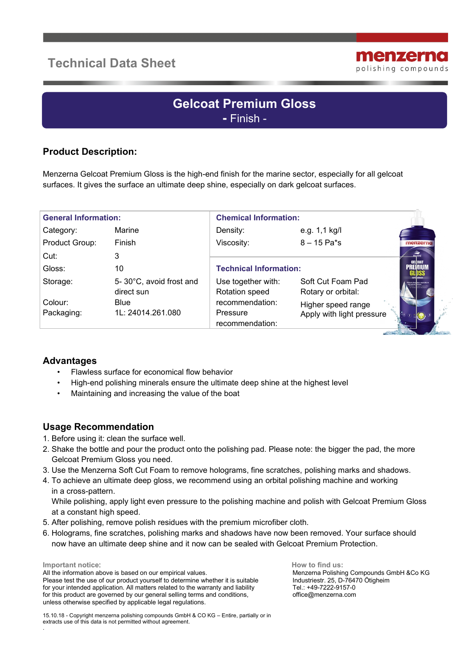# **Technical Data Sheet**



# **Gelcoat Premium Gloss -** Finish -

## **Product Description:**

Menzerna Gelcoat Premium Gloss is the high-end finish for the marine sector, especially for all gelcoat surfaces. It gives the surface an ultimate deep shine, especially on dark gelcoat surfaces.

| <b>General Information:</b> |                                       | <b>Chemical Information:</b>      |                                          |                                 |
|-----------------------------|---------------------------------------|-----------------------------------|------------------------------------------|---------------------------------|
| Category:                   | Marine                                | Density:                          | e.g. 1,1 kg/l                            |                                 |
| Product Group:              | Finish                                | Viscosity:                        | $8 - 15$ Pa*s                            | menzerna                        |
| Cut:                        | 3                                     |                                   |                                          | <b>MARINE</b><br><b>GELCOAT</b> |
| Gloss:                      | 10                                    | <b>Technical Information:</b>     |                                          | PREMIUM                         |
| Storage:                    | 5-30°C, avoid frost and<br>direct sun | Use together with:                | Soft Cut Foam Pad                        |                                 |
| Colour:                     | <b>Blue</b>                           | Rotation speed<br>recommendation: | Rotary or orbital:<br>Higher speed range |                                 |
| Packaging:                  | 1L: 24014.261.080                     | Pressure<br>recommendation:       | Apply with light pressure                |                                 |

#### **Advantages**

- Flawless surface for economical flow behavior
- High-end polishing minerals ensure the ultimate deep shine at the highest level
- Maintaining and increasing the value of the boat

#### **Usage Recommendation**

- 1. Before using it: clean the surface well.
- 2. Shake the bottle and pour the product onto the polishing pad. Please note: the bigger the pad, the more Gelcoat Premium Gloss you need.
- 3. Use the Menzerna Soft Cut Foam to remove holograms, fine scratches, polishing marks and shadows.
- 4. To achieve an ultimate deep gloss, we recommend using an orbital polishing machine and working in a cross-pattern.

 While polishing, apply light even pressure to the polishing machine and polish with Gelcoat Premium Gloss at a constant high speed.

- 5. After polishing, remove polish residues with the premium microfiber cloth.
- 6. Holograms, fine scratches, polishing marks and shadows have now been removed. Your surface should now have an ultimate deep shine and it now can be sealed with Gelcoat Premium Protection.

**Important notice**:

.

All the information above is based on our empirical values. Please test the use of our product yourself to determine whether it is suitable for your intended application. All matters related to the warranty and liability for this product are governed by our general selling terms and conditions, unless otherwise specified by applicable legal regulations.

 **How to find us:** Menzerna Polishing Compounds GmbH &Co KG Industriestr. 25, D-76470 Ötigheim Tel.: +49-7222-9157-0 office@menzerna.com

15.10.18 - Copyright menzerna polishing compounds GmbH & CO KG – Entire, partially or in extracts use of this data is not permitted without agreement.